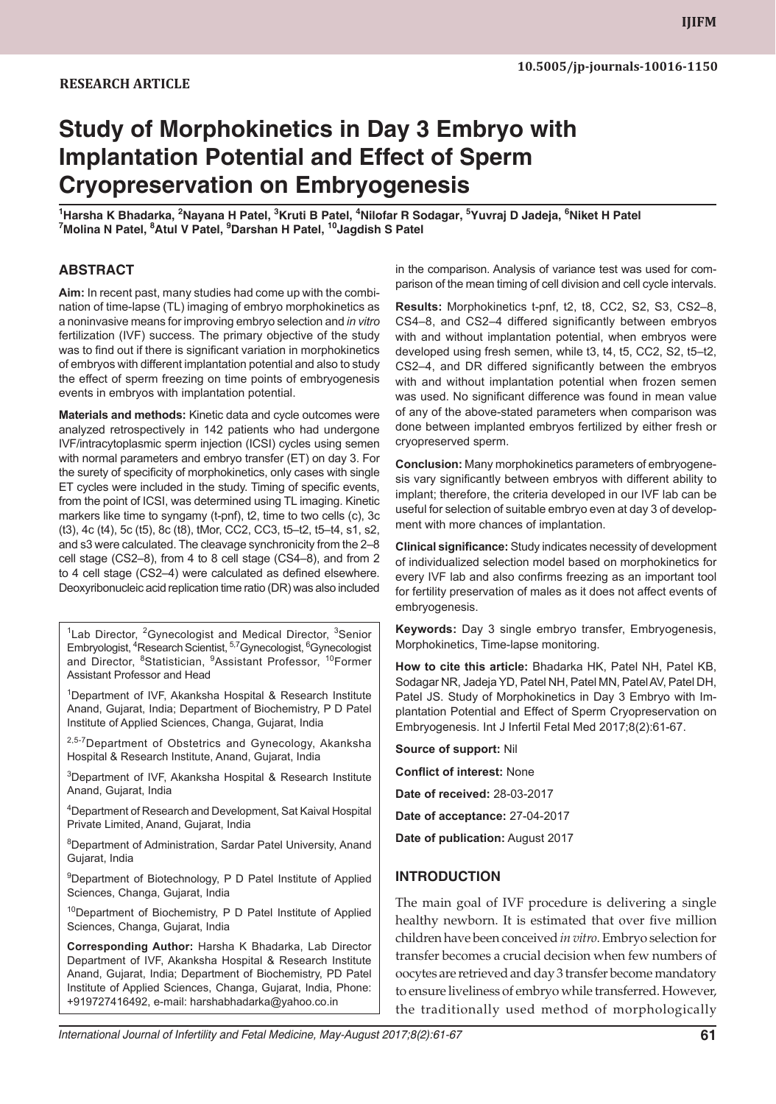#### **RESEARCH ARTICLE**

# **Study of Morphokinetics in Day 3 Embryo with Implantation Potential and Effect of Sperm Cryopreservation on Embryogenesis**

<sup>1</sup>Harsha K Bhadarka, <sup>2</sup>Nayana H Patel, <sup>3</sup>Kruti B Patel, <sup>4</sup>Nilofar R Sodagar, <sup>5</sup>Yuvraj D Jadeja, <sup>6</sup>Niket H Patel<br><sup>7</sup>Molina N Patel, <sup>8</sup>Atul V Patel, <sup>9</sup>Darshan H Patel, <sup>10</sup>Jagdish S Patel **Molina N Patel, 8 Atul V Patel, 9 Darshan H Patel, 10Jagdish S Patel**

#### **ABSTRACT**

**Aim:** In recent past, many studies had come up with the combination of time-lapse (TL) imaging of embryo morphokinetics as a noninvasive means for improving embryo selection and *in vitro* fertilization (IVF) success. The primary objective of the study was to find out if there is significant variation in morphokinetics of embryos with different implantation potential and also to study the effect of sperm freezing on time points of embryogenesis events in embryos with implantation potential.

**Materials and methods:** Kinetic data and cycle outcomes were analyzed retrospectively in 142 patients who had undergone IVF/intracytoplasmic sperm injection (ICSI) cycles using semen with normal parameters and embryo transfer (ET) on day 3. For the surety of specificity of morphokinetics, only cases with single ET cycles were included in the study. Timing of specific events, from the point of ICSI, was determined using TL imaging. Kinetic markers like time to syngamy (t-pnf), t2, time to two cells (c), 3c (t3), 4c (t4), 5c (t5), 8c (t8), tMor, CC2, CC3, t5–t2, t5–t4, s1, s2, and s3 were calculated. The cleavage synchronicity from the 2–8 cell stage (CS2–8), from 4 to 8 cell stage (CS4–8), and from 2 to 4 cell stage (CS2–4) were calculated as defined elsewhere. Deoxyribonucleic acid replication time ratio (DR) was also included

 $1$ Lab Director, <sup>2</sup>Gynecologist and Medical Director,  $3$ Senior Embryologist, <sup>4</sup>Research Scientist, <sup>5,7</sup>Gynecologist, <sup>6</sup>Gynecologist and Director, 8Statistician, 9Assistant Professor, 10Former Assistant Professor and Head

1 Department of IVF, Akanksha Hospital & Research Institute Anand, Gujarat, India; Department of Biochemistry, P D Patel Institute of Applied Sciences, Changa, Gujarat, India

<sup>2,5-7</sup>Department of Obstetrics and Gynecology, Akanksha Hospital & Research Institute, Anand, Gujarat, India

3 Department of IVF, Akanksha Hospital & Research Institute Anand, Gujarat, India

4 Department of Research and Development, Sat Kaival Hospital Private Limited, Anand, Gujarat, India

<sup>8</sup>Department of Administration, Sardar Patel University, Anand Gujarat, India

<sup>9</sup>Department of Biotechnology, P D Patel Institute of Applied Sciences, Changa, Gujarat, India

<sup>10</sup>Department of Biochemistry, P D Patel Institute of Applied Sciences, Changa, Gujarat, India

**Corresponding Author:** Harsha K Bhadarka, Lab Director Department of IVF, Akanksha Hospital & Research Institute Anand, Gujarat, India; Department of Biochemistry, PD Patel Institute of Applied Sciences, Changa, Gujarat, India, Phone: +919727416492, e-mail: harshabhadarka@yahoo.co.in

in the comparison. Analysis of variance test was used for comparison of the mean timing of cell division and cell cycle intervals.

**Results:** Morphokinetics t-pnf, t2, t8, CC2, S2, S3, CS2–8, CS4–8, and CS2–4 differed significantly between embryos with and without implantation potential, when embryos were developed using fresh semen, while t3, t4, t5, CC2, S2, t5–t2, CS2–4, and DR differed significantly between the embryos with and without implantation potential when frozen semen was used. No significant difference was found in mean value of any of the above-stated parameters when comparison was done between implanted embryos fertilized by either fresh or cryopreserved sperm.

**Conclusion:** Many morphokinetics parameters of embryogenesis vary significantly between embryos with different ability to implant; therefore, the criteria developed in our IVF lab can be useful for selection of suitable embryo even at day 3 of development with more chances of implantation.

**Clinical significance:** Study indicates necessity of development of individualized selection model based on morphokinetics for every IVF lab and also confirms freezing as an important tool for fertility preservation of males as it does not affect events of embryogenesis.

**Keywords:** Day 3 single embryo transfer, Embryogenesis, Morphokinetics, Time-lapse monitoring.

**How to cite this article:** Bhadarka HK, Patel NH, Patel KB, Sodagar NR, Jadeja YD, Patel NH, Patel MN, Patel AV, Patel DH, Patel JS. Study of Morphokinetics in Day 3 Embryo with Implantation Potential and Effect of Sperm Cryopreservation on Embryogenesis. Int J Infertil Fetal Med 2017;8(2):61-67.

**Source of support:** Nil

**Conflict of interest:** None

**Date of received:** 28-03-2017

**Date of acceptance:** 27-04-2017

**Date of publication:** August 2017

#### **INTRODUCTION**

The main goal of IVF procedure is delivering a single healthy newborn. It is estimated that over five million children have been conceived *in vitro*. Embryo selection for transfer becomes a crucial decision when few numbers of oocytes are retrieved and day 3 transfer become mandatory to ensure liveliness of embryo while transferred. However, the traditionally used method of morphologically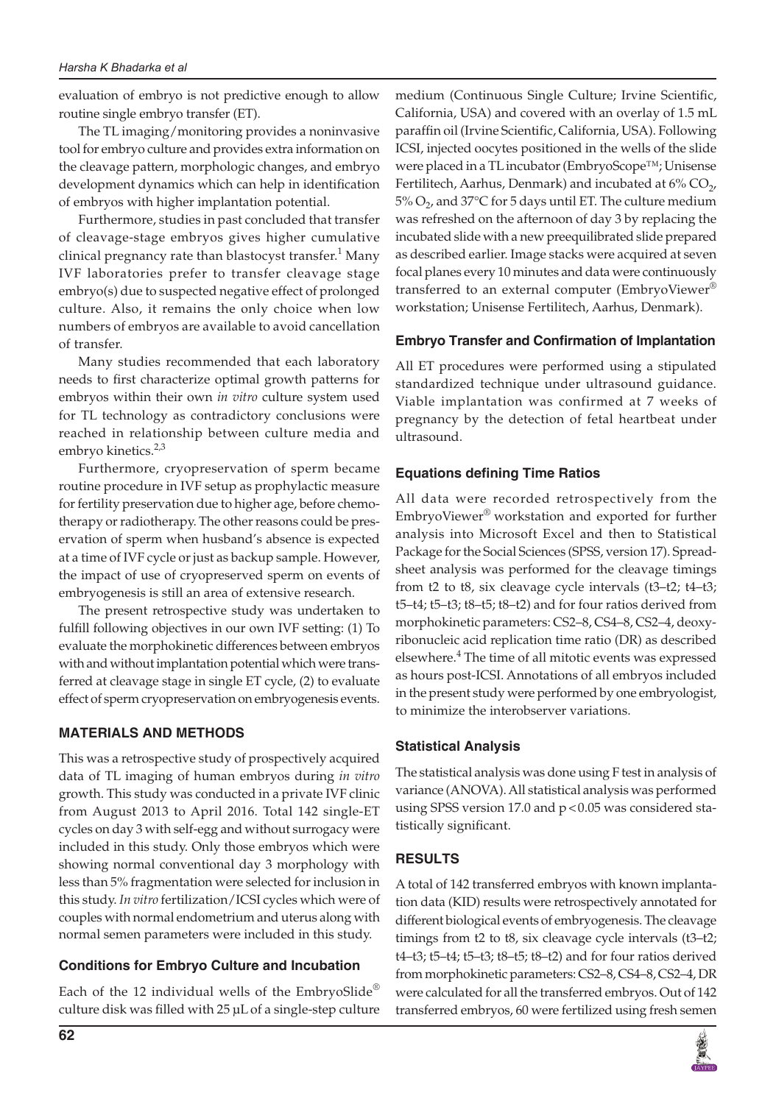evaluation of embryo is not predictive enough to allow routine single embryo transfer (ET).

The TL imaging/monitoring provides a noninvasive tool for embryo culture and provides extra information on the cleavage pattern, morphologic changes, and embryo development dynamics which can help in identification of embryos with higher implantation potential.

Furthermore, studies in past concluded that transfer of cleavage-stage embryos gives higher cumulative clinical pregnancy rate than blastocyst transfer. $^1$  Many IVF laboratories prefer to transfer cleavage stage embryo(s) due to suspected negative effect of prolonged culture. Also, it remains the only choice when low numbers of embryos are available to avoid cancellation of transfer.

Many studies recommended that each laboratory needs to first characterize optimal growth patterns for embryos within their own *in vitro* culture system used for TL technology as contradictory conclusions were reached in relationship between culture media and embryo kinetics. $2,3$ 

Furthermore, cryopreservation of sperm became routine procedure in IVF setup as prophylactic measure for fertility preservation due to higher age, before chemotherapy or radiotherapy. The other reasons could be preservation of sperm when husband's absence is expected at a time of IVF cycle or just as backup sample. However, the impact of use of cryopreserved sperm on events of embryogenesis is still an area of extensive research.

The present retrospective study was undertaken to fulfill following objectives in our own IVF setting: (1) To evaluate the morphokinetic differences between embryos with and without implantation potential which were transferred at cleavage stage in single ET cycle, (2) to evaluate effect of sperm cryopreservation on embryogenesis events.

## **MATERIALS AND METHODS**

This was a retrospective study of prospectively acquired data of TL imaging of human embryos during *in vitro* growth. This study was conducted in a private IVF clinic from August 2013 to April 2016. Total 142 single-ET cycles on day 3 with self-egg and without surrogacy were included in this study. Only those embryos which were showing normal conventional day 3 morphology with less than 5% fragmentation were selected for inclusion in this study. *In vitro* fertilization/ICSI cycles which were of couples with normal endometrium and uterus along with normal semen parameters were included in this study.

## **Conditions for Embryo Culture and Incubation**

Each of the 12 individual wells of the EmbryoSlide® culture disk was filled with 25 μL of a single-step culture medium (Continuous Single Culture; Irvine Scientific, California, USA) and covered with an overlay of 1.5 mL paraffin oil (Irvine Scientific, California, USA). Following ICSI, injected oocytes positioned in the wells of the slide were placed in a TL incubator (EmbryoScope™; Unisense Fertilitech, Aarhus, Denmark) and incubated at  $6\%$  CO<sub>2</sub>, 5%  $O_2$ , and 37°C for 5 days until ET. The culture medium was refreshed on the afternoon of day 3 by replacing the incubated slide with a new preequilibrated slide prepared as described earlier. Image stacks were acquired at seven focal planes every 10 minutes and data were continuously transferred to an external computer (EmbryoViewer® workstation; Unisense Fertilitech, Aarhus, Denmark).

## **Embryo Transfer and Confirmation of Implantation**

All ET procedures were performed using a stipulated standardized technique under ultrasound guidance. Viable implantation was confirmed at 7 weeks of pregnancy by the detection of fetal heartbeat under ultrasound.

## **Equations defining Time Ratios**

All data were recorded retrospectively from the EmbryoViewer® workstation and exported for further analysis into Microsoft Excel and then to Statistical Package for the Social Sciences (SPSS, version 17). Spreadsheet analysis was performed for the cleavage timings from t2 to t8, six cleavage cycle intervals (t3–t2; t4–t3; t5–t4; t5–t3; t8–t5; t8–t2) and for four ratios derived from morphokinetic parameters: CS2–8, CS4–8, CS2–4, deoxyribonucleic acid replication time ratio (DR) as described elsewhere.<sup>4</sup> The time of all mitotic events was expressed as hours post-ICSI. Annotations of all embryos included in the present study were performed by one embryologist, to minimize the interobserver variations.

## **Statistical Analysis**

The statistical analysis was done using F test in analysis of variance (ANOVA). All statistical analysis was performed using SPSS version 17.0 and  $p < 0.05$  was considered statistically significant.

## **RESULTS**

A total of 142 transferred embryos with known implantation data (KID) results were retrospectively annotated for different biological events of embryogenesis. The cleavage timings from t2 to t8, six cleavage cycle intervals (t3–t2; t4–t3; t5–t4; t5–t3; t8–t5; t8–t2) and for four ratios derived from morphokinetic parameters: CS2–8, CS4–8, CS2–4, DR were calculated for all the transferred embryos. Out of 142 transferred embryos, 60 were fertilized using fresh semen

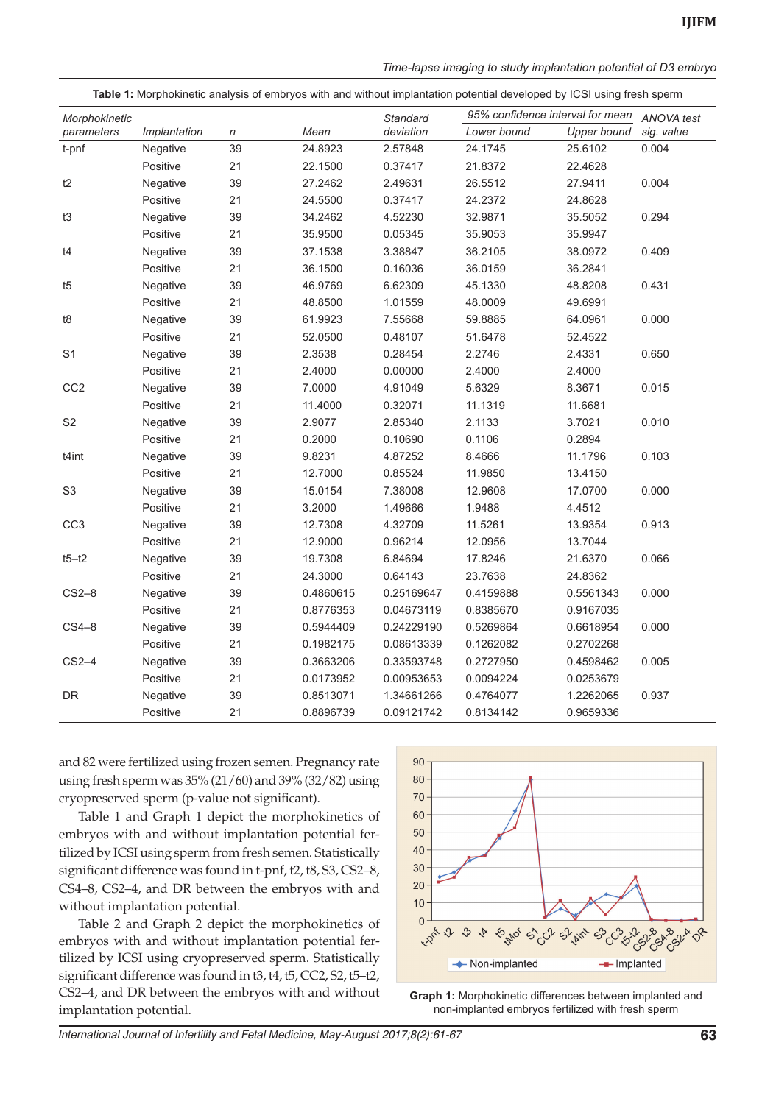|  | Time-lapse imaging to study implantation potential of D3 embryo |  |  |
|--|-----------------------------------------------------------------|--|--|

| Table 1: Morphokinetic analysis of embryos with and without implantation potential developed by ICSI using fresh sperm |              |    |           |                 |                                  |                    |                   |
|------------------------------------------------------------------------------------------------------------------------|--------------|----|-----------|-----------------|----------------------------------|--------------------|-------------------|
| Morphokinetic                                                                                                          |              |    |           | <b>Standard</b> | 95% confidence interval for mean |                    | <b>ANOVA</b> test |
| parameters                                                                                                             | Implantation | n  | Mean      | deviation       | Lower bound                      | <b>Upper bound</b> | sig. value        |
| t-pnf                                                                                                                  | Negative     | 39 | 24.8923   | 2.57848         | 24.1745                          | 25.6102            | 0.004             |
|                                                                                                                        | Positive     | 21 | 22.1500   | 0.37417         | 21.8372                          | 22.4628            |                   |
| t2                                                                                                                     | Negative     | 39 | 27.2462   | 2.49631         | 26.5512                          | 27.9411            | 0.004             |
|                                                                                                                        | Positive     | 21 | 24.5500   | 0.37417         | 24.2372                          | 24.8628            |                   |
| t3                                                                                                                     | Negative     | 39 | 34.2462   | 4.52230         | 32.9871                          | 35.5052            | 0.294             |
|                                                                                                                        | Positive     | 21 | 35.9500   | 0.05345         | 35.9053                          | 35.9947            |                   |
| t4                                                                                                                     | Negative     | 39 | 37.1538   | 3.38847         | 36.2105                          | 38.0972            | 0.409             |
|                                                                                                                        | Positive     | 21 | 36.1500   | 0.16036         | 36.0159                          | 36.2841            |                   |
| t5                                                                                                                     | Negative     | 39 | 46.9769   | 6.62309         | 45.1330                          | 48.8208            | 0.431             |
|                                                                                                                        | Positive     | 21 | 48.8500   | 1.01559         | 48.0009                          | 49.6991            |                   |
| t8                                                                                                                     | Negative     | 39 | 61.9923   | 7.55668         | 59.8885                          | 64.0961            | 0.000             |
|                                                                                                                        | Positive     | 21 | 52.0500   | 0.48107         | 51.6478                          | 52.4522            |                   |
| S <sub>1</sub>                                                                                                         | Negative     | 39 | 2.3538    | 0.28454         | 2.2746                           | 2.4331             | 0.650             |
|                                                                                                                        | Positive     | 21 | 2.4000    | 0.00000         | 2.4000                           | 2.4000             |                   |
| CC <sub>2</sub>                                                                                                        | Negative     | 39 | 7.0000    | 4.91049         | 5.6329                           | 8.3671             | 0.015             |
|                                                                                                                        | Positive     | 21 | 11.4000   | 0.32071         | 11.1319                          | 11.6681            |                   |
| S <sub>2</sub>                                                                                                         | Negative     | 39 | 2.9077    | 2.85340         | 2.1133                           | 3.7021             | 0.010             |
|                                                                                                                        | Positive     | 21 | 0.2000    | 0.10690         | 0.1106                           | 0.2894             |                   |
| t4int                                                                                                                  | Negative     | 39 | 9.8231    | 4.87252         | 8.4666                           | 11.1796            | 0.103             |
|                                                                                                                        | Positive     | 21 | 12.7000   | 0.85524         | 11.9850                          | 13.4150            |                   |
| S <sub>3</sub>                                                                                                         | Negative     | 39 | 15.0154   | 7.38008         | 12.9608                          | 17.0700            | 0.000             |
|                                                                                                                        | Positive     | 21 | 3.2000    | 1.49666         | 1.9488                           | 4.4512             |                   |
| CC <sub>3</sub>                                                                                                        | Negative     | 39 | 12.7308   | 4.32709         | 11.5261                          | 13.9354            | 0.913             |
|                                                                                                                        | Positive     | 21 | 12.9000   | 0.96214         | 12.0956                          | 13.7044            |                   |
| $t5-t2$                                                                                                                | Negative     | 39 | 19.7308   | 6.84694         | 17.8246                          | 21.6370            | 0.066             |
|                                                                                                                        | Positive     | 21 | 24.3000   | 0.64143         | 23.7638                          | 24.8362            |                   |
| $CS2-8$                                                                                                                | Negative     | 39 | 0.4860615 | 0.25169647      | 0.4159888                        | 0.5561343          | 0.000             |
|                                                                                                                        | Positive     | 21 | 0.8776353 | 0.04673119      | 0.8385670                        | 0.9167035          |                   |
| $CS4-8$                                                                                                                | Negative     | 39 | 0.5944409 | 0.24229190      | 0.5269864                        | 0.6618954          | 0.000             |
|                                                                                                                        | Positive     | 21 | 0.1982175 | 0.08613339      | 0.1262082                        | 0.2702268          |                   |
| $CS2-4$                                                                                                                | Negative     | 39 | 0.3663206 | 0.33593748      | 0.2727950                        | 0.4598462          | 0.005             |
|                                                                                                                        | Positive     | 21 | 0.0173952 | 0.00953653      | 0.0094224                        | 0.0253679          |                   |
| <b>DR</b>                                                                                                              | Negative     | 39 | 0.8513071 | 1.34661266      | 0.4764077                        | 1.2262065          | 0.937             |
|                                                                                                                        | Positive     | 21 | 0.8896739 | 0.09121742      | 0.8134142                        | 0.9659336          |                   |

and 82 were fertilized using frozen semen. Pregnancy rate using fresh sperm was 35% (21/60) and 39% (32/82) using cryopreserved sperm (p-value not significant).

Table 1 and Graph 1 depict the morphokinetics of embryos with and without implantation potential fertilized by ICSI using sperm from fresh semen. Statistically significant difference was found in t-pnf, t2, t8, S3, CS2-8, CS4–8, CS2–4, and DR between the embryos with and without implantation potential.

Table 2 and Graph 2 depict the morphokinetics of embryos with and without implantation potential fertilized by ICSI using cryopreserved sperm. Statistically significant difference was found in t3, t4, t5, CC2, S2, t5–t2, CS2–4, and DR between the embryos with and without implantation potential.



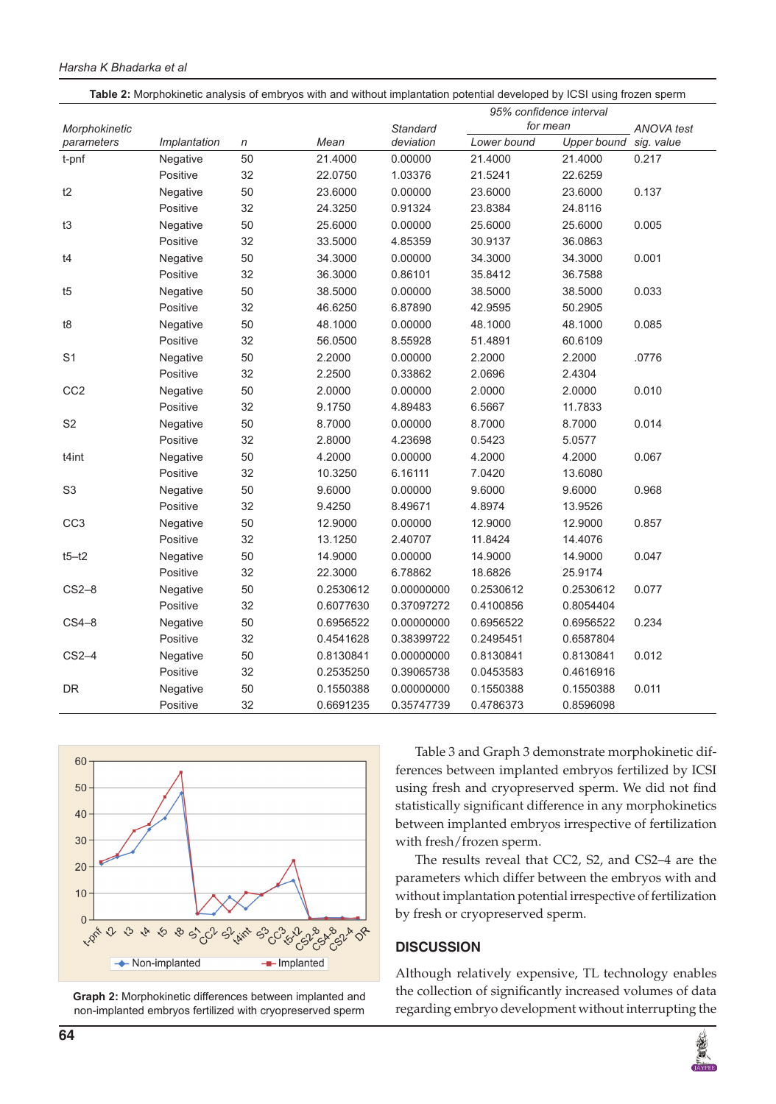#### *Harsha K Bhadarka et al*

| Table 2: Morphokinetic analysis of embryos with and without implantation potential developed by ICSI using frozen sperm |              |    |           |            |             |             |            |
|-------------------------------------------------------------------------------------------------------------------------|--------------|----|-----------|------------|-------------|-------------|------------|
| 95% confidence interval                                                                                                 |              |    |           |            |             |             |            |
| Morphokinetic                                                                                                           |              |    |           | Standard   | for mean    |             | ANOVA test |
| parameters                                                                                                              | Implantation | n  | Mean      | deviation  | Lower bound | Upper bound | sig. value |
| t-pnf                                                                                                                   | Negative     | 50 | 21.4000   | 0.00000    | 21.4000     | 21.4000     | 0.217      |
|                                                                                                                         | Positive     | 32 | 22.0750   | 1.03376    | 21.5241     | 22.6259     |            |
| t2                                                                                                                      | Negative     | 50 | 23.6000   | 0.00000    | 23.6000     | 23.6000     | 0.137      |
|                                                                                                                         | Positive     | 32 | 24.3250   | 0.91324    | 23.8384     | 24.8116     |            |
| t3                                                                                                                      | Negative     | 50 | 25.6000   | 0.00000    | 25.6000     | 25.6000     | 0.005      |
|                                                                                                                         | Positive     | 32 | 33.5000   | 4.85359    | 30.9137     | 36.0863     |            |
| t4                                                                                                                      | Negative     | 50 | 34.3000   | 0.00000    | 34.3000     | 34.3000     | 0.001      |
|                                                                                                                         | Positive     | 32 | 36.3000   | 0.86101    | 35.8412     | 36.7588     |            |
| t5                                                                                                                      | Negative     | 50 | 38.5000   | 0.00000    | 38.5000     | 38.5000     | 0.033      |
|                                                                                                                         | Positive     | 32 | 46.6250   | 6.87890    | 42.9595     | 50.2905     |            |
| t8                                                                                                                      | Negative     | 50 | 48.1000   | 0.00000    | 48.1000     | 48.1000     | 0.085      |
|                                                                                                                         | Positive     | 32 | 56.0500   | 8.55928    | 51.4891     | 60.6109     |            |
| S <sub>1</sub>                                                                                                          | Negative     | 50 | 2.2000    | 0.00000    | 2.2000      | 2.2000      | .0776      |
|                                                                                                                         | Positive     | 32 | 2.2500    | 0.33862    | 2.0696      | 2.4304      |            |
| CC <sub>2</sub>                                                                                                         | Negative     | 50 | 2.0000    | 0.00000    | 2.0000      | 2.0000      | 0.010      |
|                                                                                                                         | Positive     | 32 | 9.1750    | 4.89483    | 6.5667      | 11.7833     |            |
| S <sub>2</sub>                                                                                                          | Negative     | 50 | 8.7000    | 0.00000    | 8.7000      | 8.7000      | 0.014      |
|                                                                                                                         | Positive     | 32 | 2.8000    | 4.23698    | 0.5423      | 5.0577      |            |
| t4int                                                                                                                   | Negative     | 50 | 4.2000    | 0.00000    | 4.2000      | 4.2000      | 0.067      |
|                                                                                                                         | Positive     | 32 | 10.3250   | 6.16111    | 7.0420      | 13.6080     |            |
| S <sub>3</sub>                                                                                                          | Negative     | 50 | 9.6000    | 0.00000    | 9.6000      | 9.6000      | 0.968      |
|                                                                                                                         | Positive     | 32 | 9.4250    | 8.49671    | 4.8974      | 13.9526     |            |
| CC <sub>3</sub>                                                                                                         | Negative     | 50 | 12.9000   | 0.00000    | 12.9000     | 12.9000     | 0.857      |
|                                                                                                                         | Positive     | 32 | 13.1250   | 2.40707    | 11.8424     | 14.4076     |            |
| $t5 - t2$                                                                                                               | Negative     | 50 | 14.9000   | 0.00000    | 14.9000     | 14.9000     | 0.047      |
|                                                                                                                         | Positive     | 32 | 22.3000   | 6.78862    | 18.6826     | 25.9174     |            |
| $CS2-8$                                                                                                                 | Negative     | 50 | 0.2530612 | 0.00000000 | 0.2530612   | 0.2530612   | 0.077      |
|                                                                                                                         | Positive     | 32 | 0.6077630 | 0.37097272 | 0.4100856   | 0.8054404   |            |
| $CS4-8$                                                                                                                 | Negative     | 50 | 0.6956522 | 0.00000000 | 0.6956522   | 0.6956522   | 0.234      |
|                                                                                                                         | Positive     | 32 | 0.4541628 | 0.38399722 | 0.2495451   | 0.6587804   |            |
| $CS2-4$                                                                                                                 | Negative     | 50 | 0.8130841 | 0.00000000 | 0.8130841   | 0.8130841   | 0.012      |
|                                                                                                                         | Positive     | 32 | 0.2535250 | 0.39065738 | 0.0453583   | 0.4616916   |            |
| DR                                                                                                                      | Negative     | 50 | 0.1550388 | 0.00000000 | 0.1550388   | 0.1550388   | 0.011      |
|                                                                                                                         | Positive     | 32 | 0.6691235 | 0.35747739 | 0.4786373   | 0.8596098   |            |



**Graph 2:** Morphokinetic differences between implanted and non-implanted embryos fertilized with cryopreserved sperm

Table 3 and Graph 3 demonstrate morphokinetic differences between implanted embryos fertilized by ICSI using fresh and cryopreserved sperm. We did not find statistically significant difference in any morphokinetics between implanted embryos irrespective of fertilization with fresh/frozen sperm.

The results reveal that CC2, S2, and CS2–4 are the parameters which differ between the embryos with and without implantation potential irrespective of fertilization by fresh or cryopreserved sperm.

#### **DISCUSSION**

Although relatively expensive, TL technology enables the collection of significantly increased volumes of data regarding embryo development without interrupting the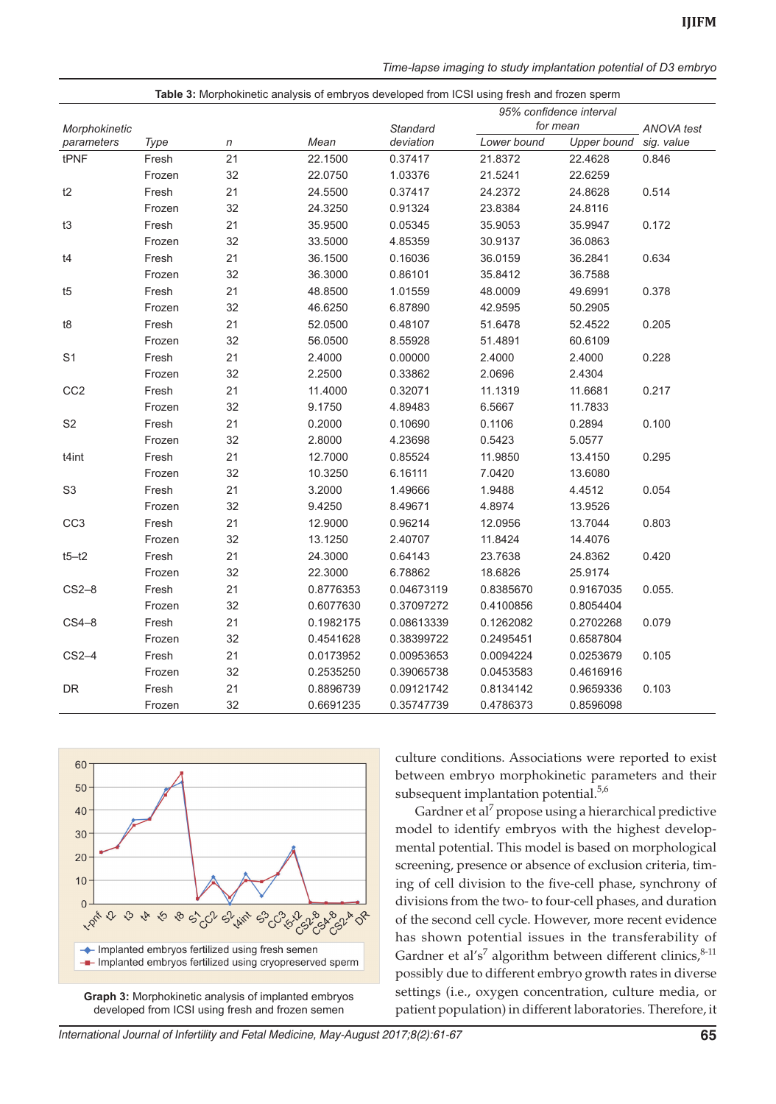|  | Time-lapse imaging to study implantation potential of D3 embryo |  |
|--|-----------------------------------------------------------------|--|
|  |                                                                 |  |

| Table 3: Morphokinetic analysis of embryos developed from ICSI using fresh and frozen sperm |        |            |           |            |             |                         |            |
|---------------------------------------------------------------------------------------------|--------|------------|-----------|------------|-------------|-------------------------|------------|
|                                                                                             |        |            |           |            |             | 95% confidence interval |            |
| Morphokinetic                                                                               |        |            |           | Standard   |             | for mean                | ANOVA test |
| parameters                                                                                  | Type   | $\sqrt{n}$ | Mean      | deviation  | Lower bound | Upper bound sig. value  |            |
| tPNF                                                                                        | Fresh  | 21         | 22.1500   | 0.37417    | 21.8372     | 22.4628                 | 0.846      |
|                                                                                             | Frozen | 32         | 22.0750   | 1.03376    | 21.5241     | 22.6259                 |            |
| t2                                                                                          | Fresh  | 21         | 24.5500   | 0.37417    | 24.2372     | 24.8628                 | 0.514      |
|                                                                                             | Frozen | 32         | 24.3250   | 0.91324    | 23.8384     | 24.8116                 |            |
| t3                                                                                          | Fresh  | 21         | 35.9500   | 0.05345    | 35.9053     | 35.9947                 | 0.172      |
|                                                                                             | Frozen | 32         | 33.5000   | 4.85359    | 30.9137     | 36.0863                 |            |
| t4                                                                                          | Fresh  | 21         | 36.1500   | 0.16036    | 36.0159     | 36.2841                 | 0.634      |
|                                                                                             | Frozen | 32         | 36.3000   | 0.86101    | 35.8412     | 36.7588                 |            |
| t5                                                                                          | Fresh  | 21         | 48.8500   | 1.01559    | 48.0009     | 49.6991                 | 0.378      |
|                                                                                             | Frozen | 32         | 46.6250   | 6.87890    | 42.9595     | 50.2905                 |            |
| t8                                                                                          | Fresh  | 21         | 52.0500   | 0.48107    | 51.6478     | 52.4522                 | 0.205      |
|                                                                                             | Frozen | 32         | 56.0500   | 8.55928    | 51.4891     | 60.6109                 |            |
| S <sub>1</sub>                                                                              | Fresh  | 21         | 2.4000    | 0.00000    | 2.4000      | 2.4000                  | 0.228      |
|                                                                                             | Frozen | 32         | 2.2500    | 0.33862    | 2.0696      | 2.4304                  |            |
| CC <sub>2</sub>                                                                             | Fresh  | 21         | 11.4000   | 0.32071    | 11.1319     | 11.6681                 | 0.217      |
|                                                                                             | Frozen | 32         | 9.1750    | 4.89483    | 6.5667      | 11.7833                 |            |
| S <sub>2</sub>                                                                              | Fresh  | 21         | 0.2000    | 0.10690    | 0.1106      | 0.2894                  | 0.100      |
|                                                                                             | Frozen | 32         | 2.8000    | 4.23698    | 0.5423      | 5.0577                  |            |
| t4int                                                                                       | Fresh  | 21         | 12.7000   | 0.85524    | 11.9850     | 13.4150                 | 0.295      |
|                                                                                             | Frozen | 32         | 10.3250   | 6.16111    | 7.0420      | 13.6080                 |            |
| S <sub>3</sub>                                                                              | Fresh  | 21         | 3.2000    | 1.49666    | 1.9488      | 4.4512                  | 0.054      |
|                                                                                             | Frozen | 32         | 9.4250    | 8.49671    | 4.8974      | 13.9526                 |            |
| CC <sub>3</sub>                                                                             | Fresh  | 21         | 12.9000   | 0.96214    | 12.0956     | 13.7044                 | 0.803      |
|                                                                                             | Frozen | 32         | 13.1250   | 2.40707    | 11.8424     | 14.4076                 |            |
| $t5-t2$                                                                                     | Fresh  | 21         | 24.3000   | 0.64143    | 23.7638     | 24.8362                 | 0.420      |
|                                                                                             | Frozen | 32         | 22.3000   | 6.78862    | 18.6826     | 25.9174                 |            |
| $CS2-8$                                                                                     | Fresh  | 21         | 0.8776353 | 0.04673119 | 0.8385670   | 0.9167035               | 0.055.     |
|                                                                                             | Frozen | 32         | 0.6077630 | 0.37097272 | 0.4100856   | 0.8054404               |            |
| $CS4-8$                                                                                     | Fresh  | 21         | 0.1982175 | 0.08613339 | 0.1262082   | 0.2702268               | 0.079      |
|                                                                                             | Frozen | 32         | 0.4541628 | 0.38399722 | 0.2495451   | 0.6587804               |            |
| $CS2-4$                                                                                     | Fresh  | 21         | 0.0173952 | 0.00953653 | 0.0094224   | 0.0253679               | 0.105      |
|                                                                                             | Frozen | 32         | 0.2535250 | 0.39065738 | 0.0453583   | 0.4616916               |            |
| DR                                                                                          | Fresh  | 21         | 0.8896739 | 0.09121742 | 0.8134142   | 0.9659336               | 0.103      |
|                                                                                             | Frozen | 32         | 0.6691235 | 0.35747739 | 0.4786373   | 0.8596098               |            |



**Graph 3:** Morphokinetic analysis of implanted embryos developed from ICSI using fresh and frozen semen

culture conditions. Associations were reported to exist between embryo morphokinetic parameters and their subsequent implantation potential.<sup>5,6</sup>

Gardner et al<sup>7</sup> propose using a hierarchical predictive model to identify embryos with the highest developmental potential. This model is based on morphological screening, presence or absence of exclusion criteria, timing of cell division to the five-cell phase, synchrony of divisions from the two- to four-cell phases, and duration of the second cell cycle. However, more recent evidence has shown potential issues in the transferability of Gardner et al's<sup>7</sup> algorithm between different clinics,  $8-11$ possibly due to different embryo growth rates in diverse settings (i.e., oxygen concentration, culture media, or patient population) in different laboratories. Therefore, it

International Journal of Infertility and Fetal Medicine, May-August 2017;8(2):61-67 **65**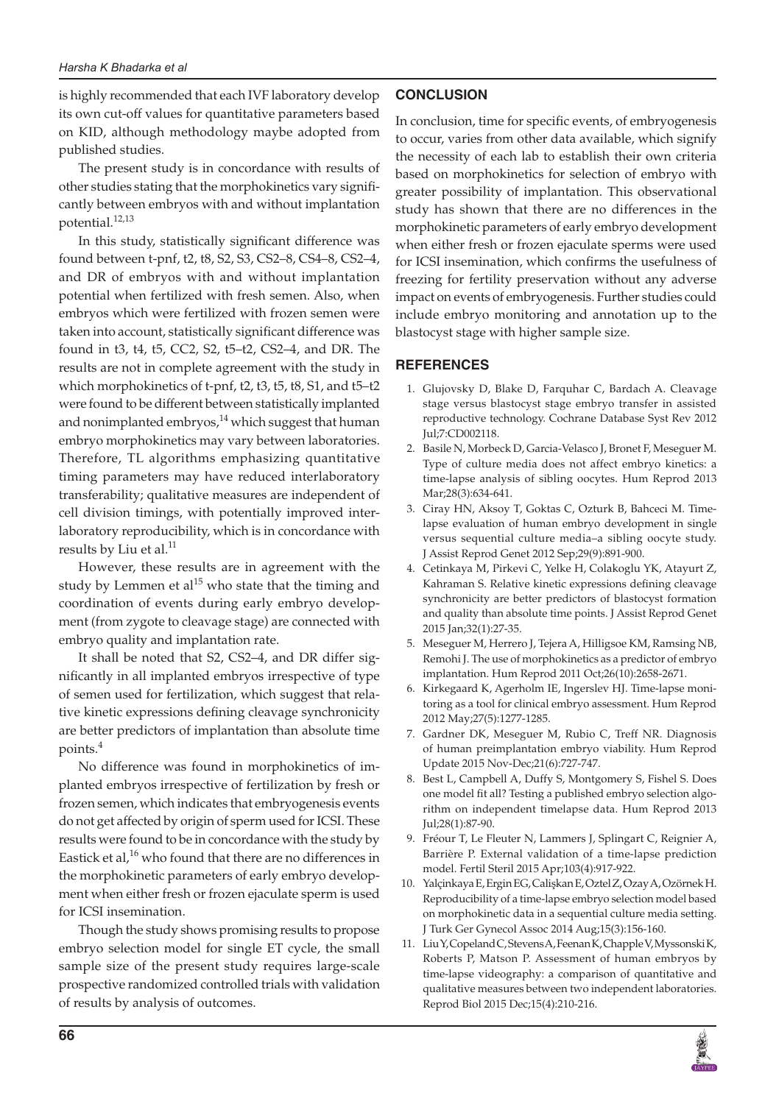is highly recommended that each IVF laboratory develop its own cut-off values for quantitative parameters based on KID, although methodology maybe adopted from published studies.

The present study is in concordance with results of other studies stating that the morphokinetics vary significantly between embryos with and without implantation potential.<sup>12,13</sup>

In this study, statistically significant difference was found between t-pnf, t2, t8, S2, S3, CS2–8, CS4–8, CS2–4, and DR of embryos with and without implantation potential when fertilized with fresh semen. Also, when embryos which were fertilized with frozen semen were taken into account, statistically significant difference was found in t3, t4, t5, CC2, S2, t5–t2, CS2–4, and DR. The results are not in complete agreement with the study in which morphokinetics of t-pnf, t2, t3, t5, t8, S1, and t5–t2 were found to be different between statistically implanted and nonimplanted embryos, $14$  which suggest that human embryo morphokinetics may vary between laboratories. Therefore, TL algorithms emphasizing quantitative timing parameters may have reduced interlaboratory transferability; qualitative measures are independent of cell division timings, with potentially improved interlaboratory reproducibility, which is in concordance with results by Liu et al.<sup>11</sup>

However, these results are in agreement with the study by Lemmen et  $al^{15}$  who state that the timing and coordination of events during early embryo development (from zygote to cleavage stage) are connected with embryo quality and implantation rate.

It shall be noted that S2, CS2–4, and DR differ significantly in all implanted embryos irrespective of type of semen used for fertilization, which suggest that relative kinetic expressions defining cleavage synchronicity are better predictors of implantation than absolute time points.4

No difference was found in morphokinetics of implanted embryos irrespective of fertilization by fresh or frozen semen, which indicates that embryogenesis events do not get affected by origin of sperm used for ICSI. These results were found to be in concordance with the study by Eastick et al,<sup>16</sup> who found that there are no differences in the morphokinetic parameters of early embryo development when either fresh or frozen ejaculate sperm is used for ICSI insemination.

Though the study shows promising results to propose embryo selection model for single ET cycle, the small sample size of the present study requires large-scale prospective randomized controlled trials with validation of results by analysis of outcomes.

## **CONCLUSION**

In conclusion, time for specific events, of embryogenesis to occur, varies from other data available, which signify the necessity of each lab to establish their own criteria based on morphokinetics for selection of embryo with greater possibility of implantation. This observational study has shown that there are no differences in the morphokinetic parameters of early embryo development when either fresh or frozen ejaculate sperms were used for ICSI insemination, which confirms the usefulness of freezing for fertility preservation without any adverse impact on events of embryogenesis. Further studies could include embryo monitoring and annotation up to the blastocyst stage with higher sample size.

#### **REFERENCES**

- 1. Glujovsky D, Blake D, Farquhar C, Bardach A. Cleavage stage versus blastocyst stage embryo transfer in assisted reproductive technology. Cochrane Database Syst Rev 2012 Jul;7:CD002118.
- 2. Basile N, Morbeck D, Garcia-Velasco J, Bronet F, Meseguer M. Type of culture media does not affect embryo kinetics: a time-lapse analysis of sibling oocytes. Hum Reprod 2013 Mar;28(3):634-641.
- 3. Ciray HN, Aksoy T, Goktas C, Ozturk B, Bahceci M. Timelapse evaluation of human embryo development in single versus sequential culture media–a sibling oocyte study. J Assist Reprod Genet 2012 Sep;29(9):891-900.
- 4. Cetinkaya M, Pirkevi C, Yelke H, Colakoglu YK, Atayurt Z, Kahraman S. Relative kinetic expressions defining cleavage synchronicity are better predictors of blastocyst formation and quality than absolute time points. J Assist Reprod Genet 2015 Jan;32(1):27-35.
- 5. Meseguer M, Herrero J, Tejera A, Hilligsoe KM, Ramsing NB, Remohi J. The use of morphokinetics as a predictor of embryo implantation. Hum Reprod 2011 Oct;26(10):2658-2671.
- 6. Kirkegaard K, Agerholm IE, Ingerslev HJ. Time-lapse monitoring as a tool for clinical embryo assessment. Hum Reprod 2012 May;27(5):1277-1285.
- 7. Gardner DK, Meseguer M, Rubio C, Treff NR. Diagnosis of human preimplantation embryo viability. Hum Reprod Update 2015 Nov-Dec;21(6):727-747.
- Best L, Campbell A, Duffy S, Montgomery S, Fishel S. Does one model fit all? Testing a published embryo selection algorithm on independent timelapse data. Hum Reprod 2013 Jul;28(1):87-90.
- 9. Fréour T, Le Fleuter N, Lammers J, Splingart C, Reignier A, Barrière P. External validation of a time-lapse prediction model. Fertil Steril 2015 Apr;103(4):917-922.
- 10. Yalçinkaya E, Ergin EG, Calişkan E, Oztel Z, Ozay A, Ozörnek H. Reproducibility of a time-lapse embryo selection model based on morphokinetic data in a sequential culture media setting. J Turk Ger Gynecol Assoc 2014 Aug;15(3):156-160.
- 11. Liu Y, Copeland C, Stevens A, Feenan K, Chapple V, Myssonski K, Roberts P, Matson P. Assessment of human embryos by time-lapse videography: a comparison of quantitative and qualitative measures between two independent laboratories. Reprod Biol 2015 Dec;15(4):210-216.